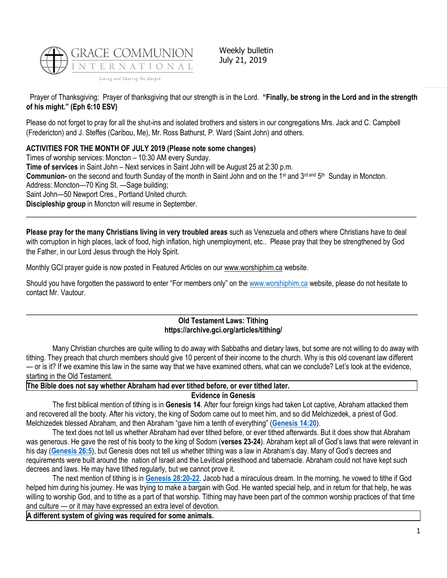

Weekly bulletin July 21, 2019

Prayer of Thanksgiving: Prayer of thanksgiving that our strength is in the Lord. **"Finally, be strong in the Lord and in the strength of his might." (Eph 6:10 ESV)**

Please do not forget to pray for all the shut-ins and isolated brothers and sisters in our congregations Mrs. Jack and C. Campbell (Fredericton) and J. Steffes (Caribou, Me), Mr. Ross Bathurst, P. Ward (Saint John) and others.

# **ACTIVITIES FOR THE MONTH OF JULY 2019 (Please note some changes)**

Times of worship services: Moncton – 10:30 AM every Sunday.

**Time of services** in Saint John – Next services in Saint John will be August 25 at 2:30 p.m. **Communion-** on the second and fourth Sunday of the month in Saint John and on the 1<sup>st</sup> and 3<sup>rd and</sup> 5<sup>th</sup> Sunday in Moncton.

Address: Moncton—70 King St. —Sage building;

Saint John—50 Newport Cres., Portland United church.

**Discipleship group** in Moncton will resume in September.

**Please pray for the many Christians living in very troubled areas** such as Venezuela and others where Christians have to deal with corruption in high places, lack of food, high inflation, high unemployment, etc.. Please pray that they be strengthened by God the Father, in our Lord Jesus through the Holy Spirit.

 $\_$  , and the set of the set of the set of the set of the set of the set of the set of the set of the set of the set of the set of the set of the set of the set of the set of the set of the set of the set of the set of th

Monthly GCI prayer guide is now posted in Featured Articles on our [www.worshiphim.ca](http://www.worshiphim.ca/) website.

Should you have forgotten the password to enter "For members only" on the [www.worshiphim.ca](http://www.worshiphim.ca/) website, please do not hesitate to contact Mr. Vautour.

#### \_\_\_\_\_\_\_\_\_\_\_\_\_\_\_\_\_\_\_\_\_\_\_\_\_\_\_\_\_\_\_\_\_\_\_\_\_\_\_\_\_\_\_\_\_\_\_\_\_\_\_\_\_\_\_\_\_\_\_\_\_\_\_\_\_\_\_\_\_\_\_\_\_\_\_\_\_\_\_\_\_\_\_\_\_\_\_\_\_\_\_\_\_\_\_\_\_\_ **Old Testament Laws: Tithing https://archive.gci.org/articles/tithing/**

Many Christian churches are quite willing to do away with Sabbaths and dietary laws, but some are not willing to do away with tithing. They preach that church members should give 10 percent of their income to the church. Why is this old covenant law different — or is it? If we examine this law in the same way that we have examined others, what can we conclude? Let's look at the evidence, starting in the Old Testament.

**The Bible does not say whether Abraham had ever tithed before, or ever tithed later.**

# **Evidence in Genesis**

The first biblical mention of tithing is in **Genesis 14**. After four foreign kings had taken Lot captive, Abraham attacked them and recovered all the booty. After his victory, the king of Sodom came out to meet him, and so did Melchizedek, a priest of God. Melchizedek blessed Abraham, and then Abraham "gave him a tenth of everything" (**[Genesis 14:20](https://biblia.com/bible/niv/Gen%2014.20)**).

The text does not tell us whether Abraham had ever tithed before, or ever tithed afterwards. But it does show that Abraham was generous. He gave the rest of his booty to the king of Sodom (**verses 23-24**). Abraham kept all of God's laws that were relevant in his day (**[Genesis 26:5](https://biblia.com/bible/niv/Gen%2026.5)**), but Genesis does not tell us whether tithing was a law in Abraham's day. Many of God's decrees and requirements were built around the nation of Israel and the Levitical priesthood and tabernacle. Abraham could not have kept such decrees and laws. He may have tithed regularly, but we cannot prove it.

The next mention of tithing is in **[Genesis 28:20-22](https://biblia.com/bible/niv/Gen%2028.20-22)**. Jacob had a miraculous dream. In the morning, he vowed to tithe if God helped him during his journey. He was trying to make a bargain with God. He wanted special help, and in return for that help, he was willing to worship God, and to tithe as a part of that worship. Tithing may have been part of the common worship practices of that time and culture — or it may have expressed an extra level of devotion.

**A different system of giving was required for some animals.**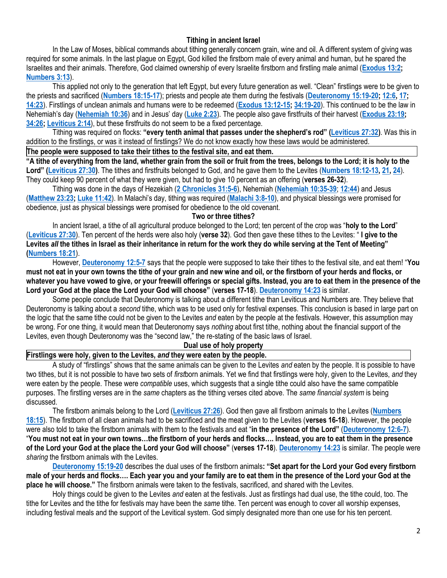# **Tithing in ancient Israel**

In the Law of Moses, biblical commands about tithing generally concern grain, wine and oil. A different system of giving was required for some animals. In the last plague on Egypt, God killed the firstborn male of every animal and human, but he spared the Israelites and their animals. Therefore, God claimed ownership of every Israelite firstborn and firstling male animal (**[Exodus 13:2;](https://biblia.com/bible/niv/Exod%2013.2) [Numbers 3:13](https://biblia.com/bible/niv/Num%203.13)**).

This applied not only to the generation that left Egypt, but every future generation as well. "Clean" firstlings were to be given to the priests and sacrificed (**[Numbers 18:15-17](https://biblia.com/bible/niv/Num%2018.15-17)**); priests and people ate them during the festivals (**[Deuteronomy 15:19-20;](https://biblia.com/bible/niv/Deut%2015.19-20) [12:6,](https://biblia.com/bible/niv/Deuteronomy%2012.6) [17;](https://biblia.com/bible/niv/Deuteronomy%2012.17) [14:23](https://biblia.com/bible/niv/Deuteronomy%2014.23)**). Firstlings of unclean animals and humans were to be redeemed (**[Exodus 13:12-15;](https://biblia.com/bible/niv/Exod%2013.12-15) [34:19-20](https://biblia.com/bible/niv/Exodus%2034.19-20)**). This continued to be the law in Nehemiah's day (**[Nehemiah 10:36](https://biblia.com/bible/niv/Neh%2010.36)**) and in Jesus' day (**[Luke 2:23](https://biblia.com/bible/niv/Luke%202.23)**). The people also gave firstfruits of their harvest (**[Exodus 23:19;](https://biblia.com/bible/niv/Exod%2023.19) [34:26;](https://biblia.com/bible/niv/Exodus%2034.26) [Leviticus 2:14](https://biblia.com/bible/niv/Lev%202.14)**), but these firstfruits do not seem to be a fixed percentage.

Tithing was required on flocks: **"every tenth animal that passes under the shepherd's rod" ([Leviticus 27:32\)](https://biblia.com/bible/niv/Lev%2027.32)**. Was this in addition to the firstlings, or was it instead of firstlings? We do not know exactly how these laws would be administered.

#### **The people were supposed to take their tithes to the festival site, and eat them.**

**"A tithe of everything from the land, whether grain from the soil or fruit from the trees, belongs to the Lord; it is holy to the Lord" ([Leviticus 27:30\)](https://biblia.com/bible/niv/Lev%2027.30)**. The tithes and firstfruits belonged to God, and he gave them to the Levites (**[Numbers 18:12-13,](https://biblia.com/bible/niv/Num%2018.12-13) [21,](https://biblia.com/bible/niv/Numbers%2018.21) [24](https://biblia.com/bible/niv/Numbers%2018.24)**). They could keep 90 percent of what they were given, but had to give 10 percent as an offering (**verses 26-32**).

Tithing was done in the days of Hezekiah (**[2 Chronicles 31:5-6](https://biblia.com/bible/niv/2%20Chron%2031.5-6)**), Nehemiah (**[Nehemiah 10:35-39](https://biblia.com/bible/niv/Neh%2010.35-39)**; **[12:44](https://biblia.com/bible/niv/Nehemiah%2012.44)**) and Jesus (**[Matthew 23:23;](https://biblia.com/bible/niv/Matt%2023.23) [Luke 11:42](https://biblia.com/bible/niv/Luke%2011.42)**). In Malachi's day, tithing was required (**[Malachi 3:8-10](https://biblia.com/bible/niv/Mal%203.8-10)**), and physical blessings were promised for obedience, just as physical blessings were promised for obedience to the old covenant.

#### **Two or three tithes?**

In ancient Israel, a tithe of all agricultural produce belonged to the Lord; ten percent of the crop was "**holy to the Lord**" (**[Leviticus 27:30](https://biblia.com/bible/niv/Lev%2027.30)**). Ten percent of the herds were also holy (**verse 32**). God then gave these tithes to the Levites: " **I give to the Levites** *all* **the tithes in Israel as their inheritance in return for the work they do while serving at the Tent of Meeting" [\(Numbers 18:21](https://biblia.com/bible/niv/Num%2018.21)**).

However, **[Deuteronomy 12:5-7](https://biblia.com/bible/niv/Deut%2012.5-7)** says that the people were supposed to take their tithes to the festival site, and eat them! "**You must not eat in your own towns the tithe of your grain and new wine and oil, or the firstborn of your herds and flocks, or whatever you have vowed to give, or your freewill offerings or special gifts. Instead, you are to eat them in the presence of the Lord your God at the place the Lord your God will choose"** (**verses 17-18**). **[Deuteronomy 14:23](https://biblia.com/bible/niv/Deut%2014.23)** is similar.

Some people conclude that Deuteronomy is talking about a different tithe than Leviticus and Numbers are. They believe that Deuteronomy is talking about a *second* tithe, which was to be used only for festival expenses. This conclusion is based in large part on the logic that the same tithe could not be given to the Levites *and* eaten by the people at the festivals. However, this assumption may be wrong. For one thing, it would mean that Deuteronomy says *nothing* about first tithe, nothing about the financial support of the Levites, even though Deuteronomy was the "second law," the re-stating of the basic laws of Israel.

#### **Dual use of holy property**

## **Firstlings were holy, given to the Levites,** *and* **they were eaten by the people.**

A study of "firstlings" shows that the same animals can be given to the Levites *and* eaten by the people. It is possible to have two tithes, but it is not possible to have two sets of *first*born animals. Yet we find that firstlings were holy, given to the Levites, *and* they were eaten by the people. These were *compatible* uses, which suggests that a single tithe could also have the same compatible purposes. The firstling verses are in the *same* chapters as the tithing verses cited above. The *same financial system* is being discussed.

The firstborn animals belong to the Lord (**[Leviticus 27:26](https://biblia.com/bible/niv/Lev%2027.26)**). God then gave all firstborn animals to the Levites (**[Numbers](https://biblia.com/bible/niv/Num%2018.15)  [18:15](https://biblia.com/bible/niv/Num%2018.15)**). The firstborn of all clean animals had to be sacrificed and the meat given to the Levites (**verses 16-18**). However, the people were also told to take the firstborn animals with them to the festivals and eat "**in the presence of the Lord"** (**[Deuteronomy 12:6-7](https://biblia.com/bible/niv/Deut%2012.6-7)**). "**You must not eat in your own towns…the firstborn of your herds and flocks…. Instead, you are to eat them in the presence of the Lord your God at the place the Lord your God will choose"** (**verses 17-18**). **[Deuteronomy 14:23](https://biblia.com/bible/niv/Deut%2014.23)** is similar. The people were *sharing* the firstborn animals with the Levites.

**[Deuteronomy 15:19-20](https://biblia.com/bible/niv/Deut%2015.19-20)** describes the dual uses of the firstborn animals**: "Set apart for the Lord your God every firstborn male of your herds and flocks…. Each year you and your family are to eat them in the presence of the Lord your God at the place he will choose."** The firstborn animals were taken to the festivals, sacrificed, and shared with the Levites.

Holy things could be given to the Levites *and* eaten at the festivals. Just as firstlings had dual use, the tithe could, too. The tithe for Levites and the tithe for festivals may have been the *same* tithe. Ten percent was enough to cover all worship expenses, including festival meals and the support of the Levitical system. God simply designated more than one use for his ten percent.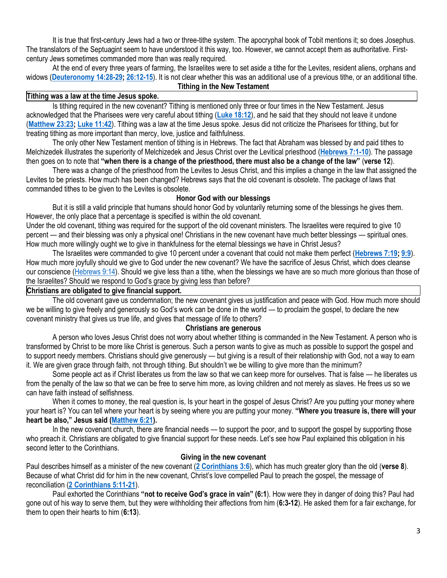It is true that first-century Jews had a two or three-tithe system. The apocryphal book of Tobit mentions it; so does Josephus. The translators of the Septuagint seem to have understood it this way, too. However, we cannot accept them as authoritative. Firstcentury Jews sometimes commanded more than was really required.

At the end of every three years of farming, the Israelites were to set aside a tithe for the Levites, resident aliens, orphans and widows (**[Deuteronomy 14:28-29;](https://biblia.com/bible/niv/Deut%2014.28-29) [26:12-15](https://biblia.com/bible/niv/Deuteronomy%2026.12-15)**). It is not clear whether this was an additional use of a previous tithe, or an additional tithe. **Tithing in the New Testament**

#### **Tithing was a law at the time Jesus spoke.**

Is tithing required in the new covenant? Tithing is mentioned only three or four times in the New Testament. Jesus acknowledged that the Pharisees were very careful about tithing (**[Luke 18:12](https://biblia.com/bible/niv/Luke%2018.12)**), and he said that they should not leave it undone (**[Matthew 23:23;](https://biblia.com/bible/niv/Matt%2023.23) [Luke 11:42](https://biblia.com/bible/niv/Luke%2011.42)**). Tithing was a law at the time Jesus spoke. Jesus did not criticize the Pharisees for tithing, but for treating tithing as more important than mercy, love, justice and faithfulness.

The only other New Testament mention of tithing is in Hebrews. The fact that Abraham was blessed by and paid tithes to Melchizedek illustrates the superiority of Melchizedek and Jesus Christ over the Levitical priesthood (**[Hebrews 7:1-10](https://biblia.com/bible/niv/Heb%207.1-10)**). The passage then goes on to note that **"when there is a change of the priesthood, there must also be a change of the law"** (**verse 12**).

There was a change of the priesthood from the Levites to Jesus Christ, and this implies a change in the law that assigned the Levites to be priests. How much has been changed? Hebrews says that the old covenant is obsolete. The package of laws that commanded tithes to be given to the Levites is obsolete.

# **Honor God with our blessings**

But it is still a valid principle that humans should honor God by voluntarily returning some of the blessings he gives them. However, the only place that a percentage is specified is within the old covenant.

Under the old covenant, tithing was required for the support of the old covenant ministers. The Israelites were required to give 10 percent — and their blessing was only a physical one! Christians in the new covenant have much better blessings — spiritual ones. How much more willingly ought we to give in thankfulness for the eternal blessings we have in Christ Jesus?

The Israelites were commanded to give 10 percent under a covenant that could not make them perfect (**[Hebrews 7:19;](https://biblia.com/bible/niv/Heb%207.19) [9:9](https://biblia.com/bible/niv/Hebrews%209.9)**). How much more joyfully should we give to God under the new covenant? We have the sacrifice of Jesus Christ, which does cleanse our conscience [\(Hebrews 9:14\)](https://biblia.com/bible/niv/Heb%209.14). Should we give less than a tithe, when the blessings we have are so much more glorious than those of the Israelites? Should we respond to God's grace by giving less than before?

## **Christians are obligated to give financial support.**

The old covenant gave us condemnation; the new covenant gives us justification and peace with God. How much more should we be willing to give freely and generously so God's work can be done in the world — to proclaim the gospel, to declare the new covenant ministry that gives us true life, and gives that message of life to others?

## **Christians are generous**

A person who loves Jesus Christ does not worry about whether tithing is commanded in the New Testament. A person who is transformed by Christ to be more like Christ is generous. Such a person wants to give as much as possible to support the gospel and to support needy members. Christians should give generously — but giving is a result of their relationship with God, not a way to earn it. We are given grace through faith, not through tithing. But shouldn't we be willing to give more than the minimum?

Some people act as if Christ liberates us from the law so that we can keep more for ourselves. That is false — he liberates us from the penalty of the law so that we can be free to serve him more, as loving children and not merely as slaves. He frees us so we can have faith instead of selfishness.

When it comes to money, the real question is, Is your heart in the gospel of Jesus Christ? Are you putting your money where your heart is? You can tell where your heart is by seeing where you are putting your money. **"Where you treasure is, there will your heart be also," Jesus said ([Matthew 6:21\)](https://biblia.com/bible/niv/Matt%206.21).**

In the new covenant church, there are financial needs — to support the poor, and to support the gospel by supporting those who preach it. Christians are obligated to give financial support for these needs. Let's see how Paul explained this obligation in his second letter to the Corinthians.

# **Giving in the new covenant**

Paul describes himself as a minister of the new covenant (**[2 Corinthians 3:6](https://biblia.com/bible/niv/2%20Cor%203.6)**), which has much greater glory than the old (**verse 8**). Because of what Christ did for him in the new covenant, Christ's love compelled Paul to preach the gospel, the message of reconciliation (**[2 Corinthians 5:11-21](https://biblia.com/bible/niv/2%20Cor%205.11-21)**).

Paul exhorted the Corinthians **"not to receive God's grace in vain" (6:1**). How were they in danger of doing this? Paul had gone out of his way to serve them, but they were withholding their affections from him (**6:3-12**). He asked them for a fair exchange, for them to open their hearts to him (**6:13**).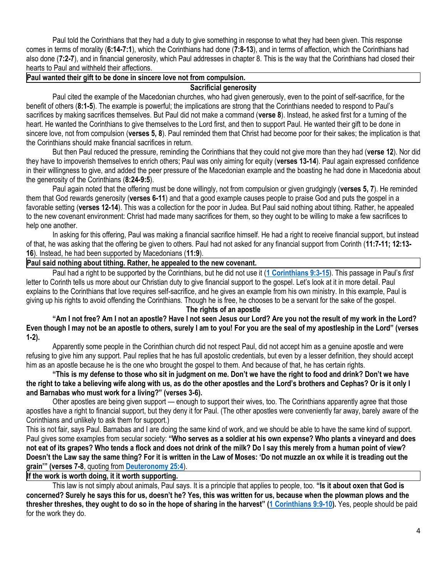Paul told the Corinthians that they had a duty to give something in response to what they had been given. This response comes in terms of morality (**6:14-7:1**), which the Corinthians had done (**7:8-13**), and in terms of affection, which the Corinthians had also done (**7:2-7**), and in financial generosity, which Paul addresses in chapter 8. This is the way that the Corinthians had closed their hearts to Paul and withheld their affections.

## **Paul wanted their gift to be done in sincere love not from compulsion.**

## **Sacrificial generosity**

Paul cited the example of the Macedonian churches, who had given generously, even to the point of self-sacrifice, for the benefit of others (**8:1-5**). The example is powerful; the implications are strong that the Corinthians needed to respond to Paul's sacrifices by making sacrifices themselves. But Paul did not make a command (**verse 8**). Instead, he asked first for a turning of the heart. He wanted the Corinthians to give themselves to the Lord first, and then to support Paul. He wanted their gift to be done in sincere love, not from compulsion (**verses 5, 8**). Paul reminded them that Christ had become poor for their sakes; the implication is that the Corinthians should make financial sacrifices in return.

But then Paul reduced the pressure, reminding the Corinthians that they could not give more than they had (**verse 12**). Nor did they have to impoverish themselves to enrich others; Paul was only aiming for equity (**verses 13-14**). Paul again expressed confidence in their willingness to give, and added the peer pressure of the Macedonian example and the boasting he had done in Macedonia about the generosity of the Corinthians (**8:24-9:5**).

Paul again noted that the offering must be done willingly, not from compulsion or given grudgingly (**verses 5, 7**). He reminded them that God rewards generosity (**verses 6-11**) and that a good example causes people to praise God and puts the gospel in a favorable setting (**verses 12-14**). This was a collection for the poor in Judea. But Paul said nothing about tithing. Rather, he appealed to the new covenant environment: Christ had made many sacrifices for them, so they ought to be willing to make a few sacrifices to help one another.

In asking for this offering, Paul was making a financial sacrifice himself. He had a right to receive financial support, but instead of that, he was asking that the offering be given to others. Paul had not asked for any financial support from Corinth (**11:7-11; 12:13- 16**). Instead, he had been supported by Macedonians (**11:9**).

## **Paul said nothing about tithing. Rather, he appealed to the new covenant.**

Paul had a right to be supported by the Corinthians, but he did not use it (**[1 Corinthians 9:3-15](https://biblia.com/bible/niv/1%20Cor%209.3-15)**). This passage in Paul's *first*  letter to Corinth tells us more about our Christian duty to give financial support to the gospel. Let's look at it in more detail. Paul explains to the Corinthians that love requires self-sacrifice, and he gives an example from his own ministry. In this example, Paul is giving up his rights to avoid offending the Corinthians. Though he is free, he chooses to be a servant for the sake of the gospel.

## **The rights of an apostle**

**"Am I not free? Am I not an apostle? Have I not seen Jesus our Lord? Are you not the result of my work in the Lord? Even though I may not be an apostle to others, surely I am to you! For you are the seal of my apostleship in the Lord" (verses 1-2).**

Apparently some people in the Corinthian church did not respect Paul, did not accept him as a genuine apostle and were refusing to give him any support. Paul replies that he has full apostolic credentials, but even by a lesser definition, they should accept him as an apostle because he is the one who brought the gospel to them. And because of that, he has certain rights.

**"This is my defense to those who sit in judgment on me. Don't we have the right to food and drink? Don't we have the right to take a believing wife along with us, as do the other apostles and the Lord's brothers and Cephas? Or is it only I and Barnabas who must work for a living?" (verses 3-6).**

Other apostles are being given support — enough to support their wives, too. The Corinthians apparently agree that those apostles have a right to financial support, but they deny it for Paul. (The other apostles were conveniently far away, barely aware of the Corinthians and unlikely to ask them for support.)

This is not fair, says Paul. Barnabas and I are doing the same kind of work, and we should be able to have the same kind of support. Paul gives some examples from secular society: **"Who serves as a soldier at his own expense? Who plants a vineyard and does not eat of its grapes? Who tends a flock and does not drink of the milk? Do I say this merely from a human point of view? Doesn't the Law say the same thing? For it is written in the Law of Moses: 'Do not muzzle an ox while it is treading out the grain'" (verses 7-8**, quoting from **[Deuteronomy 25:4](https://biblia.com/bible/niv/Deut%2025.4)**).

# **If the work is worth doing, it it worth supporting.**

This law is not simply about animals, Paul says. It is a principle that applies to people, too. **"Is it about oxen that God is concerned? Surely he says this for us, doesn't he? Yes, this was written for us, because when the plowman plows and the thresher threshes, they ought to do so in the hope of sharing in the harvest" ([1 Corinthians 9:9-10\)](https://biblia.com/bible/niv/1%20Cor%209.9-10).** Yes, people should be paid for the work they do.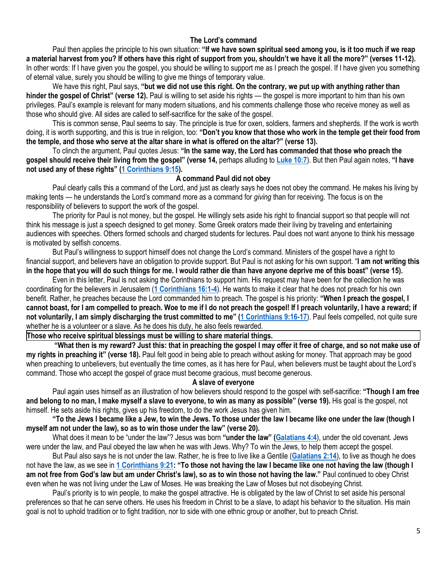# **The Lord's command**

Paul then applies the principle to his own situation: **"If we have sown spiritual seed among you, is it too much if we reap a material harvest from you? If others have this right of support from you, shouldn't we have it all the more?" (verses 11-12).** In other words: If I have given you the gospel, you should be willing to support me as I preach the gospel. If I have given you something of eternal value, surely you should be willing to give me things of temporary value.

We have this right, Paul says, **"but we did not use this right. On the contrary, we put up with anything rather than hinder the gospel of Christ" (verse 12).** Paul is willing to set aside his rights — the gospel is more important to him than his own privileges. Paul's example is relevant for many modern situations, and his comments challenge those who receive money as well as those who should give. All sides are called to self-sacrifice for the sake of the gospel.

This is common sense, Paul seems to say. The principle is true for oxen, soldiers, farmers and shepherds. If the work is worth doing, it is worth supporting, and this is true in religion, too: **"Don't you know that those who work in the temple get their food from the temple, and those who serve at the altar share in what is offered on the altar?" (verse 13).**

To clinch the argument, Paul quotes Jesus: **"In the same way, the Lord has commanded that those who preach the gospel should receive their living from the gospel" (verse 14,** perhaps alluding to **[Luke 10:7](https://biblia.com/bible/niv/Luke%2010.7)**). But then Paul again notes, **"I have not used any of these rights" ([1 Corinthians 9:15\)](https://biblia.com/bible/niv/1%20Cor%209.15).**

## **A command Paul did not obey**

Paul clearly calls this a command of the Lord, and just as clearly says he does not obey the command. He makes his living by making tents — he understands the Lord's command more as a command for *giving* than for receiving. The focus is on the responsibility of believers to support the work of the gospel.

The priority for Paul is not money, but the gospel. He willingly sets aside his right to financial support so that people will not think his message is just a speech designed to get money. Some Greek orators made their living by traveling and entertaining audiences with speeches. Others formed schools and charged students for lectures. Paul does not want anyone to think his message is motivated by selfish concerns.

But Paul's willingness to support himself does not change the Lord's command. Ministers of the gospel have a right to financial support, and believers have an obligation to provide support. But Paul is not asking for his own support. "**I am not writing this in the hope that you will do such things for me. I would rather die than have anyone deprive me of this boast" (verse 15).**

Even in this letter, Paul is not asking the Corinthians to support him. His request may have been for the collection he was coordinating for the believers in Jerusalem (**[1 Corinthians 16:1-4](https://biblia.com/bible/niv/1%20Cor%2016.1-4)**). He wants to make it clear that he does not preach for his own benefit. Rather, he preaches because the Lord commanded him to preach. The gospel is his priority: **"When I preach the gospel, I cannot boast, for I am compelled to preach. Woe to me if I do not preach the gospel! If I preach voluntarily, I have a reward; if not voluntarily, I am simply discharging the trust committed to me" ([1 Corinthians 9:16-17](https://biblia.com/bible/niv/1%20Cor%209.16-17)**). Paul feels compelled, not quite sure whether he is a volunteer or a slave. As he does his duty, he also feels rewarded.

**Those who receive spiritual blessings must be willing to share material things.**

**"What then is my reward? Just this: that in preaching the gospel I may offer it free of charge, and so not make use of my rights in preaching it" (verse 18).** Paul felt good in being able to preach without asking for money. That approach may be good when preaching to unbelievers, but eventually the time comes, as it has here for Paul, when believers must be taught about the Lord's command. Those who accept the gospel of grace must become gracious, must become generous.

## **A slave of everyone**

Paul again uses himself as an illustration of how believers should respond to the gospel with self-sacrifice: **"Though I am free and belong to no man, I make myself a slave to everyone, to win as many as possible" (verse 19).** His goal is the gospel, not himself. He sets aside his rights, gives up his freedom, to do the work Jesus has given him.

# **"To the Jews I became like a Jew, to win the Jews. To those under the law I became like one under the law (though I myself am not under the law), so as to win those under the law" (verse 20).**

What does it mean to be "under the law"? Jesus was born **"under the law" ([Galatians 4:4](https://biblia.com/bible/niv/Gal%204.4)**), under the old covenant. Jews were under the law, and Paul obeyed the law when he was with Jews. Why? To win the Jews, to help them accept the gospel.

But Paul also says he is not under the law. Rather, he is free to live like a Gentile (**[Galatians 2:14](https://biblia.com/bible/niv/Gal%202.14)**), to live as though he does not have the law, as we see in **[1 Corinthians 9:21](https://biblia.com/bible/niv/1%20Cor%209.21): "To those not having the law I became like one not having the law (though I am not free from God's law but am under Christ's law), so as to win those not having the law."** Paul continued to obey Christ even when he was not living under the Law of Moses. He was breaking the Law of Moses but not disobeying Christ.

Paul's priority is to win people, to make the gospel attractive. He is obligated by the law of Christ to set aside his personal preferences so that he can serve others. He uses his freedom in Christ to be a slave, to adapt his behavior to the situation. His main goal is not to uphold tradition or to fight tradition, nor to side with one ethnic group or another, but to preach Christ.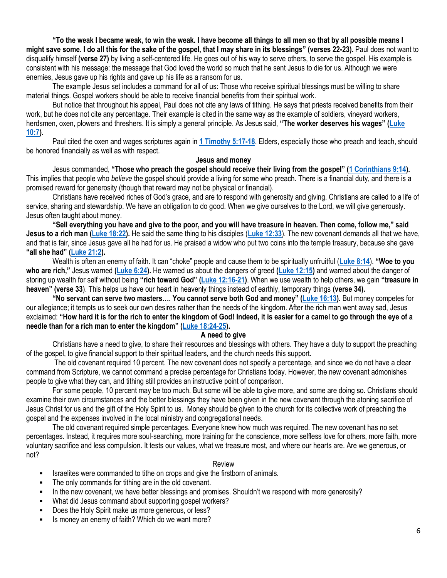**"To the weak I became weak, to win the weak. I have become all things to all men so that by all possible means I might save some. I do all this for the sake of the gospel, that I may share in its blessings" (verses 22-23).** Paul does not want to disqualify himself **(verse 27)** by living a self-centered life. He goes out of his way to serve others, to serve the gospel. His example is consistent with his message: the message that God loved the world so much that he sent Jesus to die for us. Although we were enemies, Jesus gave up his rights and gave up his life as a ransom for us.

The example Jesus set includes a command for all of us: Those who receive spiritual blessings must be willing to share material things. Gospel workers should be able to receive financial benefits from their spiritual work.

But notice that throughout his appeal, Paul does not cite any laws of tithing. He says that priests received benefits from their work, but he does not cite any percentage. Their example is cited in the same way as the example of soldiers, vineyard workers, herdsmen, oxen, plowers and threshers. It is simply a general principle. As Jesus said, **"The worker deserves his wages" ([Luke](https://biblia.com/bible/niv/Luke%2010.7)  [10:7\)](https://biblia.com/bible/niv/Luke%2010.7).**

Paul cited the oxen and wages scriptures again in **[1 Timothy 5:17-18](https://biblia.com/bible/niv/1%20Tim%205.17-18)**. Elders, especially those who preach and teach, should be honored financially as well as with respect.

#### **Jesus and money**

Jesus commanded, **"Those who preach the gospel should receive their living from the gospel" ([1 Corinthians 9:14\)](https://biblia.com/bible/niv/1%20Cor%209.14).** This implies that people who *believe* the gospel should provide a living for some who preach. There is a financial duty, and there is a promised reward for generosity (though that reward may not be physical or financial).

Christians have received riches of God's grace, and are to respond with generosity and giving. Christians are called to a life of service, sharing and stewardship. We have an obligation to do good. When we give ourselves to the Lord, we will give generously. Jesus often taught about money.

**"Sell everything you have and give to the poor, and you will have treasure in heaven. Then come, follow me," said Jesus to a rich man [\(Luke 18:22\)](https://biblia.com/bible/niv/Luke%2018.22).** He said the same thing to his disciples (**[Luke 12:33](https://biblia.com/bible/niv/Luke%2012.33)**). The new covenant demands all that we have, and that is fair, since Jesus gave all he had for us. He praised a widow who put two coins into the temple treasury, because she gave **"all she had" ([Luke 21:2\)](https://biblia.com/bible/niv/Luke%2021.2).**

Wealth is often an enemy of faith. It can "choke" people and cause them to be spiritually unfruitful (**[Luke 8:14](https://biblia.com/bible/niv/Luke%208.14)**). **"Woe to you who are rich,"** Jesus warned **[\(Luke 6:24\)](https://biblia.com/bible/niv/Luke%206.24).** He warned us about the dangers of greed **[\(Luke 12:15\)](https://biblia.com/bible/niv/Luke%2012.15)** and warned about the danger of storing up wealth for self without being **"rich toward God" ([Luke 12:16-21\)](https://biblia.com/bible/niv/Luke%2012.16-21)**. When we use wealth to help others, we gain **"treasure in heaven" (verse 33**). This helps us have our heart in heavenly things instead of earthly, temporary things **(verse 34).**

**"No servant can serve two masters…. You cannot serve both God and money" ([Luke 16:13\)](https://biblia.com/bible/niv/Luke%2016.13).** But money competes for our allegiance; it tempts us to seek our own desires rather than the needs of the kingdom. After the rich man went away sad, Jesus exclaimed: **"How hard it is for the rich to enter the kingdom of God! Indeed, it is easier for a camel to go through the eye of a needle than for a rich man to enter the kingdom" ([Luke 18:24-25\)](https://biblia.com/bible/niv/Luke%2018.24-25).**

#### **A need to give**

Christians have a need to give, to share their resources and blessings with others. They have a duty to support the preaching of the gospel, to give financial support to their spiritual leaders, and the church needs this support.

The old covenant required 10 percent. The new covenant does not specify a percentage, and since we do not have a clear command from Scripture, we cannot command a precise percentage for Christians today. However, the new covenant admonishes people to give what they can, and tithing still provides an instructive point of comparison.

For some people, 10 percent may be too much. But some will be able to give more, and some are doing so. Christians should examine their own circumstances and the better blessings they have been given in the new covenant through the atoning sacrifice of Jesus Christ for us and the gift of the Holy Spirit to us. Money should be given to the church for its collective work of preaching the gospel and the expenses involved in the local ministry and congregational needs.

The old covenant required simple percentages. Everyone knew how much was required. The new covenant has no set percentages. Instead, it requires more soul-searching, more training for the conscience, more selfless love for others, more faith, more voluntary sacrifice and less compulsion. It tests our values, what we treasure most, and where our hearts are. Are we generous, or not?

#### Review

- Israelites were commanded to tithe on crops and give the firstborn of animals.
- The only commands for tithing are in the old covenant.
- In the new covenant, we have better blessings and promises. Shouldn't we respond with more generosity?
- What did Jesus command about supporting gospel workers?
- Does the Holy Spirit make us more generous, or less?
- Is money an enemy of faith? Which do we want more?